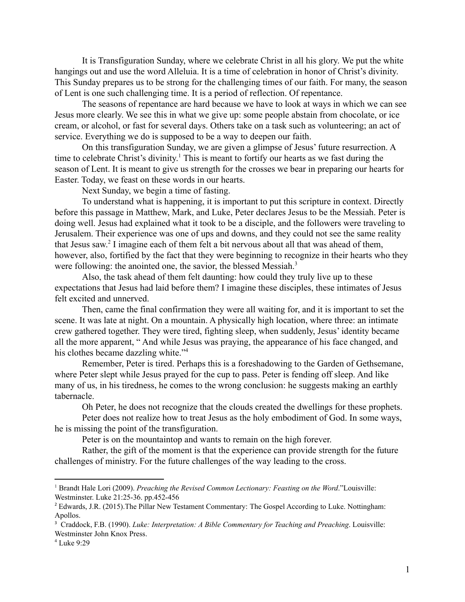It is Transfiguration Sunday, where we celebrate Christ in all his glory. We put the white hangings out and use the word Alleluia. It is a time of celebration in honor of Christ's divinity. This Sunday prepares us to be strong for the challenging times of our faith. For many, the season of Lent is one such challenging time. It is a period of reflection. Of repentance.

The seasons of repentance are hard because we have to look at ways in which we can see Jesus more clearly. We see this in what we give up: some people abstain from chocolate, or ice cream, or alcohol, or fast for several days. Others take on a task such as volunteering; an act of service. Everything we do is supposed to be a way to deepen our faith.

On this transfiguration Sunday, we are given a glimpse of Jesus' future resurrection. A time to celebrate Christ's divinity.<sup>1</sup> This is meant to fortify our hearts as we fast during the season of Lent. It is meant to give us strength for the crosses we bear in preparing our hearts for Easter. Today, we feast on these words in our hearts.

Next Sunday, we begin a time of fasting.

To understand what is happening, it is important to put this scripture in context. Directly before this passage in Matthew, Mark, and Luke, Peter declares Jesus to be the Messiah. Peter is doing well. Jesus had explained what it took to be a disciple, and the followers were traveling to Jerusalem. Their experience was one of ups and downs, and they could not see the same reality that Jesus saw.<sup>2</sup> I imagine each of them felt a bit nervous about all that was ahead of them, however, also, fortified by the fact that they were beginning to recognize in their hearts who they were following: the anointed one, the savior, the blessed Messiah.<sup>3</sup>

Also, the task ahead of them felt daunting: how could they truly live up to these expectations that Jesus had laid before them? I imagine these disciples, these intimates of Jesus felt excited and unnerved.

Then, came the final confirmation they were all waiting for, and it is important to set the scene. It was late at night. On a mountain. A physically high location, where three: an intimate crew gathered together. They were tired, fighting sleep, when suddenly, Jesus' identity became all the more apparent, " And while Jesus was praying, the appearance of his face changed, and his clothes became dazzling white."<sup>4</sup>

Remember, Peter is tired. Perhaps this is a foreshadowing to the Garden of Gethsemane, where Peter slept while Jesus prayed for the cup to pass. Peter is fending off sleep. And like many of us, in his tiredness, he comes to the wrong conclusion: he suggests making an earthly tabernacle.

Oh Peter, he does not recognize that the clouds created the dwellings for these prophets.

Peter does not realize how to treat Jesus as the holy embodiment of God. In some ways, he is missing the point of the transfiguration.

Peter is on the mountaintop and wants to remain on the high forever.

Rather, the gift of the moment is that the experience can provide strength for the future challenges of ministry. For the future challenges of the way leading to the cross.

<sup>1</sup> Brandt Hale Lori (2009). *Preaching the Revised Common Lectionary: Feasting on the Word*."Louisville: Westminster. Luke 21:25-36. pp.452-456

<sup>2</sup> Edwards, J.R. (2015).The Pillar New Testament Commentary: The Gospel According to Luke. Nottingham: Apollos.

<sup>3</sup> Craddock, F.B. (1990). *Luke: Interpretation: A Bible Commentary for Teaching and Preaching*. Louisville: Westminster John Knox Press.

<sup>4</sup> Luke 9:29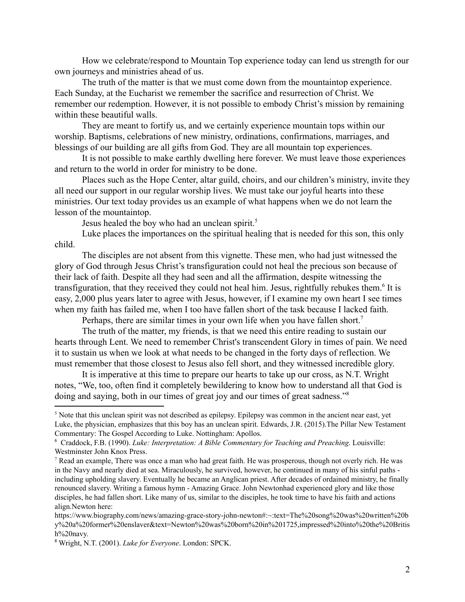How we celebrate/respond to Mountain Top experience today can lend us strength for our own journeys and ministries ahead of us.

The truth of the matter is that we must come down from the mountaintop experience. Each Sunday, at the Eucharist we remember the sacrifice and resurrection of Christ. We remember our redemption. However, it is not possible to embody Christ's mission by remaining within these beautiful walls.

They are meant to fortify us, and we certainly experience mountain tops within our worship. Baptisms, celebrations of new ministry, ordinations, confirmations, marriages, and blessings of our building are all gifts from God. They are all mountain top experiences.

It is not possible to make earthly dwelling here forever. We must leave those experiences and return to the world in order for ministry to be done.

Places such as the Hope Center, altar guild, choirs, and our children's ministry, invite they all need our support in our regular worship lives. We must take our joyful hearts into these ministries. Our text today provides us an example of what happens when we do not learn the lesson of the mountaintop.

Jesus healed the boy who had an unclean spirit.<sup>5</sup>

Luke places the importances on the spiritual healing that is needed for this son, this only child.

The disciples are not absent from this vignette. These men, who had just witnessed the glory of God through Jesus Christ's transfiguration could not heal the precious son because of their lack of faith. Despite all they had seen and all the affirmation, despite witnessing the transfiguration, that they received they could not heal him. Jesus, rightfully rebukes them.<sup>6</sup> It is easy, 2,000 plus years later to agree with Jesus, however, if I examine my own heart I see times when my faith has failed me, when I too have fallen short of the task because I lacked faith.

Perhaps, there are similar times in your own life when you have fallen short.<sup>7</sup>

The truth of the matter, my friends, is that we need this entire reading to sustain our hearts through Lent. We need to remember Christ's transcendent Glory in times of pain. We need it to sustain us when we look at what needs to be changed in the forty days of reflection. We must remember that those closest to Jesus also fell short, and they witnessed incredible glory.

It is imperative at this time to prepare our hearts to take up our cross, as N.T. Wright notes, "We, too, often find it completely bewildering to know how to understand all that God is doing and saying, both in our times of great joy and our times of great sadness."<sup>8</sup>

 $<sup>5</sup>$  Note that this unclean spirit was not described as epilepsy. Epilepsy was common in the ancient near east, yet</sup> Luke, the physician, emphasizes that this boy has an unclean spirit. Edwards, J.R. (2015).The Pillar New Testament Commentary: The Gospel According to Luke. Nottingham: Apollos.

<sup>6</sup> Craddock, F.B. (1990). *Luke: Interpretation: A Bible Commentary for Teaching and Preaching*. Louisville: Westminster John Knox Press.

<sup>&</sup>lt;sup>7</sup> Read an example, There was once a man who had great faith. He was prosperous, though not overly rich. He was in the Navy and nearly died at sea. Miraculously, he survived, however, he continued in many of his sinful paths including upholding slavery. Eventually he became an Anglican priest. After decades of ordained ministry, he finally renounced slavery. Writing a famous hymn - Amazing Grace. John Newtonhad experienced glory and like those disciples, he had fallen short. Like many of us, similar to the disciples, he took time to have his faith and actions align.Newton here:

https://www.biography.com/news/amazing-grace-story-john-newton#:~:text=The%20song%20was%20written%20b y%20a%20former%20enslaver&text=Newton%20was%20born%20in%201725,impressed%20into%20the%20Britis h%20navy.

<sup>8</sup> Wright, N.T. (2001). *Luke for Everyone*. London: SPCK.